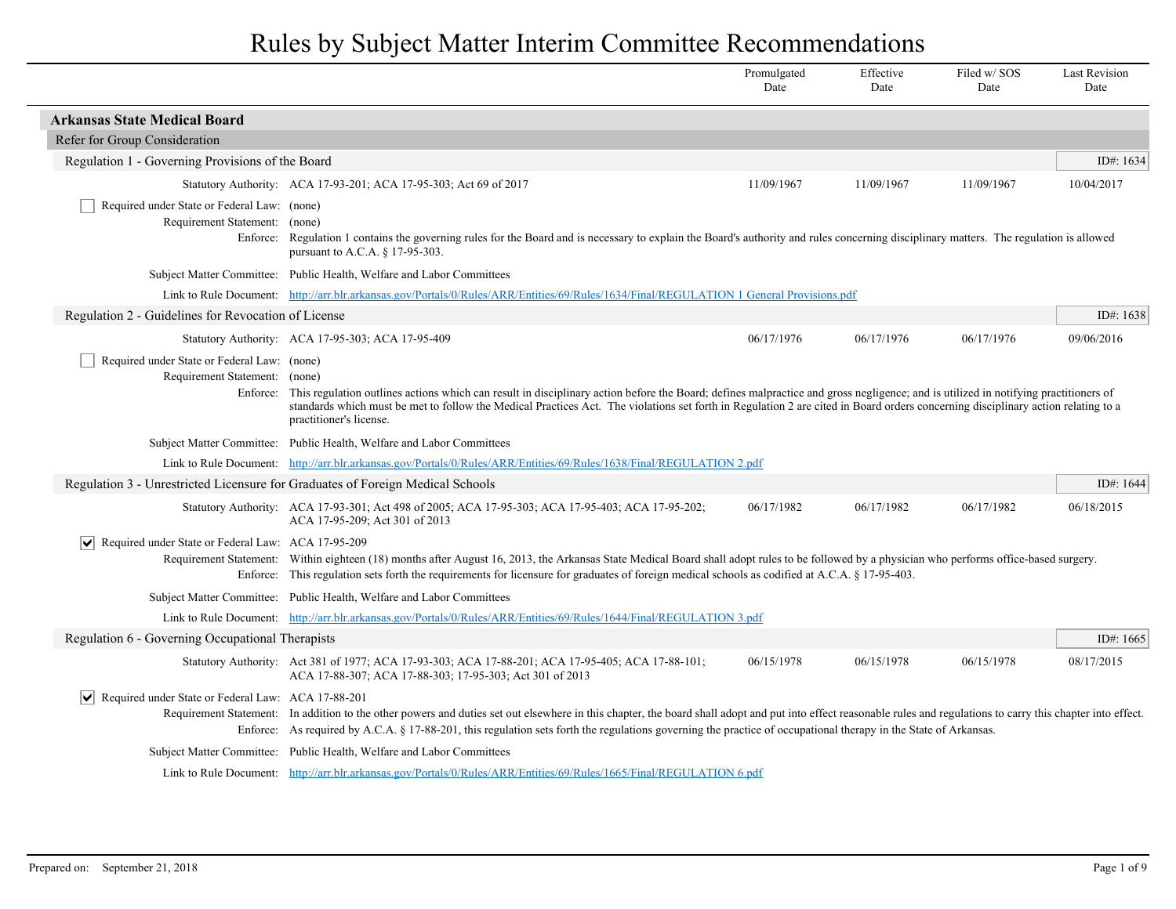|                                                                                          |                                                                                                                                                                                                                                                                                                                                                                                                   | Promulgated<br>Date | Effective<br>Date | Filed w/SOS<br>Date | <b>Last Revision</b><br>Date |
|------------------------------------------------------------------------------------------|---------------------------------------------------------------------------------------------------------------------------------------------------------------------------------------------------------------------------------------------------------------------------------------------------------------------------------------------------------------------------------------------------|---------------------|-------------------|---------------------|------------------------------|
| <b>Arkansas State Medical Board</b>                                                      |                                                                                                                                                                                                                                                                                                                                                                                                   |                     |                   |                     |                              |
| Refer for Group Consideration                                                            |                                                                                                                                                                                                                                                                                                                                                                                                   |                     |                   |                     |                              |
| Regulation 1 - Governing Provisions of the Board                                         |                                                                                                                                                                                                                                                                                                                                                                                                   |                     |                   |                     | ID#: 1634                    |
|                                                                                          | Statutory Authority: ACA 17-93-201; ACA 17-95-303; Act 69 of 2017                                                                                                                                                                                                                                                                                                                                 | 11/09/1967          | 11/09/1967        | 11/09/1967          | 10/04/2017                   |
| Required under State or Federal Law: (none)<br>Requirement Statement:<br>Enforce:        | (none)<br>Regulation 1 contains the governing rules for the Board and is necessary to explain the Board's authority and rules concerning disciplinary matters. The regulation is allowed<br>pursuant to A.C.A. § 17-95-303.                                                                                                                                                                       |                     |                   |                     |                              |
|                                                                                          | Subject Matter Committee: Public Health, Welfare and Labor Committees                                                                                                                                                                                                                                                                                                                             |                     |                   |                     |                              |
|                                                                                          | Link to Rule Document: http://arr.blr.arkansas.gov/Portals/0/Rules/ARR/Entities/69/Rules/1634/Final/REGULATION 1 General Provisions.pdf                                                                                                                                                                                                                                                           |                     |                   |                     |                              |
| Regulation 2 - Guidelines for Revocation of License                                      |                                                                                                                                                                                                                                                                                                                                                                                                   |                     |                   |                     | ID#: $1638$                  |
|                                                                                          | Statutory Authority: ACA 17-95-303; ACA 17-95-409                                                                                                                                                                                                                                                                                                                                                 | 06/17/1976          | 06/17/1976        | 06/17/1976          | 09/06/2016                   |
| Required under State or Federal Law: (none)<br>Requirement Statement: (none)<br>Enforce: | This regulation outlines actions which can result in disciplinary action before the Board; defines malpractice and gross negligence; and is utilized in notifying practitioners of<br>standards which must be met to follow the Medical Practices Act. The violations set forth in Regulation 2 are cited in Board orders concerning disciplinary action relating to a<br>practitioner's license. |                     |                   |                     |                              |
|                                                                                          | Subject Matter Committee: Public Health, Welfare and Labor Committees                                                                                                                                                                                                                                                                                                                             |                     |                   |                     |                              |
|                                                                                          | Link to Rule Document: http://arr.blr.arkansas.gov/Portals/0/Rules/ARR/Entities/69/Rules/1638/Final/REGULATION 2.pdf                                                                                                                                                                                                                                                                              |                     |                   |                     |                              |
| Regulation 3 - Unrestricted Licensure for Graduates of Foreign Medical Schools           |                                                                                                                                                                                                                                                                                                                                                                                                   |                     |                   |                     | ID#: 1644                    |
|                                                                                          | Statutory Authority: ACA 17-93-301; Act 498 of 2005; ACA 17-95-303; ACA 17-95-403; ACA 17-95-202;<br>ACA 17-95-209; Act 301 of 2013                                                                                                                                                                                                                                                               | 06/17/1982          | 06/17/1982        | 06/17/1982          | 06/18/2015                   |
| Required under State or Federal Law: ACA 17-95-209<br>$ \bm{\mathsf{v}} $                | Requirement Statement: Within eighteen (18) months after August 16, 2013, the Arkansas State Medical Board shall adopt rules to be followed by a physician who performs office-based surgery.<br>Enforce: This regulation sets forth the requirements for licensure for graduates of foreign medical schools as codified at A.C.A. § 17-95-403.                                                   |                     |                   |                     |                              |
|                                                                                          | Subject Matter Committee: Public Health, Welfare and Labor Committees                                                                                                                                                                                                                                                                                                                             |                     |                   |                     |                              |
|                                                                                          | Link to Rule Document: http://arr.blr.arkansas.gov/Portals/0/Rules/ARR/Entities/69/Rules/1644/Final/REGULATION 3.pdf                                                                                                                                                                                                                                                                              |                     |                   |                     |                              |
| Regulation 6 - Governing Occupational Therapists                                         |                                                                                                                                                                                                                                                                                                                                                                                                   |                     |                   |                     | ID#: $1665$                  |
|                                                                                          | Statutory Authority: Act 381 of 1977; ACA 17-93-303; ACA 17-88-201; ACA 17-95-405; ACA 17-88-101;<br>ACA 17-88-307; ACA 17-88-303; 17-95-303; Act 301 of 2013                                                                                                                                                                                                                                     | 06/15/1978          | 06/15/1978        | 06/15/1978          | 08/17/2015                   |
| $\vert\bm{\mathsf{v}}\vert$<br>Required under State or Federal Law: ACA 17-88-201        | Requirement Statement: In addition to the other powers and duties set out elsewhere in this chapter, the board shall adopt and put into effect reasonable rules and regulations to carry this chapter into effect.<br>Enforce: As required by A.C.A. § 17-88-201, this regulation sets forth the regulations governing the practice of occupational therapy in the State of Arkansas.             |                     |                   |                     |                              |
|                                                                                          | Subject Matter Committee: Public Health, Welfare and Labor Committees                                                                                                                                                                                                                                                                                                                             |                     |                   |                     |                              |
|                                                                                          | Link to Rule Document: http://arr.blr.arkansas.gov/Portals/0/Rules/ARR/Entities/69/Rules/1665/Final/REGULATION 6.pdf                                                                                                                                                                                                                                                                              |                     |                   |                     |                              |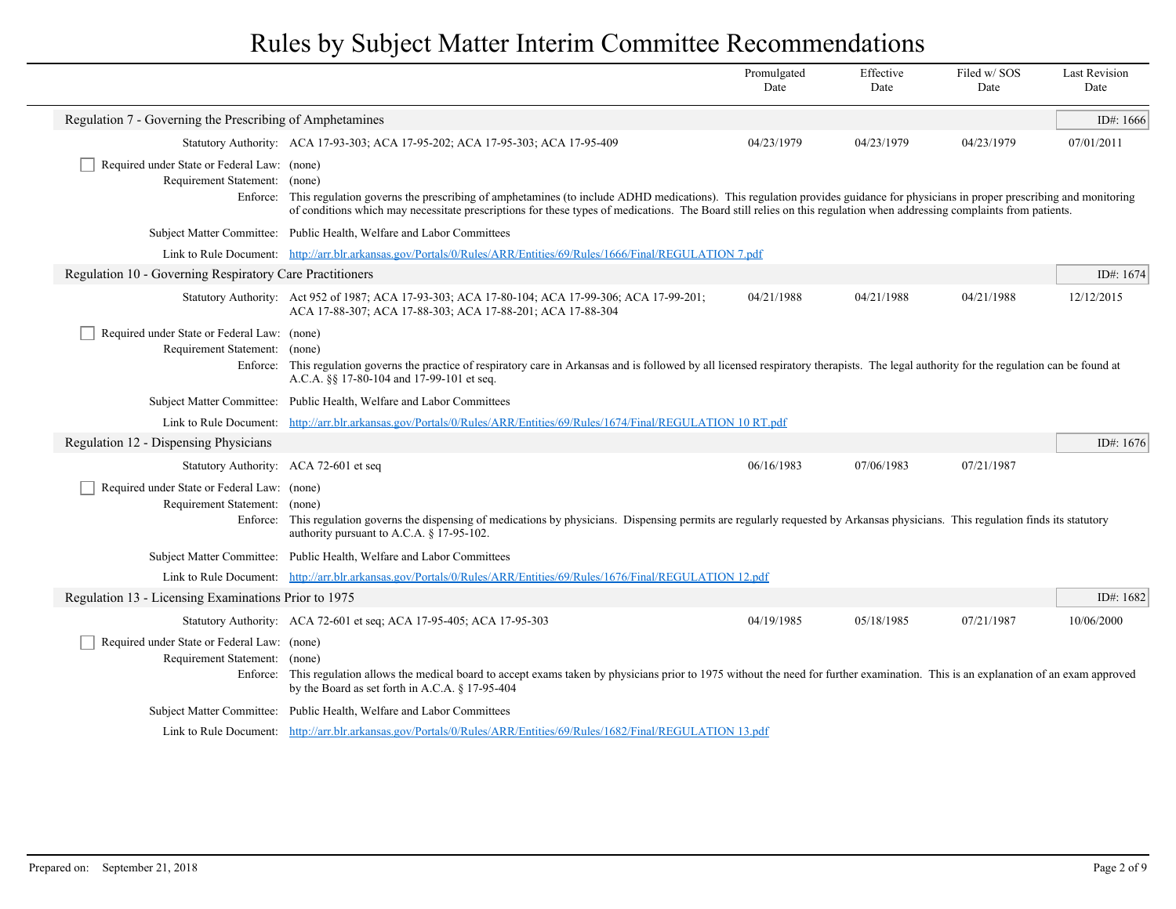|                                                                                                                      |                                                                                                                                                                                                                                                                                                                                                                          | Promulgated<br>Date | Effective<br>Date | Filed w/SOS<br>Date | <b>Last Revision</b><br>Date |
|----------------------------------------------------------------------------------------------------------------------|--------------------------------------------------------------------------------------------------------------------------------------------------------------------------------------------------------------------------------------------------------------------------------------------------------------------------------------------------------------------------|---------------------|-------------------|---------------------|------------------------------|
| Regulation 7 - Governing the Prescribing of Amphetamines                                                             |                                                                                                                                                                                                                                                                                                                                                                          |                     |                   |                     | ID#: $1666$                  |
|                                                                                                                      | Statutory Authority: ACA 17-93-303; ACA 17-95-202; ACA 17-95-303; ACA 17-95-409                                                                                                                                                                                                                                                                                          | 04/23/1979          | 04/23/1979        | 04/23/1979          | 07/01/2011                   |
| Required under State or Federal Law: (none)<br>Requirement Statement:                                                | (none)<br>Enforce: This regulation governs the prescribing of amphetamines (to include ADHD medications). This regulation provides guidance for physicians in proper prescribing and monitoring<br>of conditions which may necessitate prescriptions for these types of medications. The Board still relies on this regulation when addressing complaints from patients. |                     |                   |                     |                              |
|                                                                                                                      | Subject Matter Committee: Public Health, Welfare and Labor Committees                                                                                                                                                                                                                                                                                                    |                     |                   |                     |                              |
| Link to Rule Document: http://arr.blr.arkansas.gov/Portals/0/Rules/ARR/Entities/69/Rules/1666/Final/REGULATION 7.pdf |                                                                                                                                                                                                                                                                                                                                                                          |                     |                   |                     |                              |
| Regulation 10 - Governing Respiratory Care Practitioners                                                             |                                                                                                                                                                                                                                                                                                                                                                          |                     |                   |                     | ID#: $1674$                  |
|                                                                                                                      | Statutory Authority: Act 952 of 1987; ACA 17-93-303; ACA 17-80-104; ACA 17-99-306; ACA 17-99-201;<br>ACA 17-88-307; ACA 17-88-303; ACA 17-88-201; ACA 17-88-304                                                                                                                                                                                                          | 04/21/1988          | 04/21/1988        | 04/21/1988          | 12/12/2015                   |
| Required under State or Federal Law: (none)<br>Requirement Statement: (none)                                         | Enforce: This regulation governs the practice of respiratory care in Arkansas and is followed by all licensed respiratory therapists. The legal authority for the regulation can be found at<br>A.C.A. §§ 17-80-104 and 17-99-101 et seq.                                                                                                                                |                     |                   |                     |                              |
|                                                                                                                      | Subject Matter Committee: Public Health, Welfare and Labor Committees                                                                                                                                                                                                                                                                                                    |                     |                   |                     |                              |
|                                                                                                                      | Link to Rule Document: http://arr.blr.arkansas.gov/Portals/0/Rules/ARR/Entities/69/Rules/1674/Final/REGULATION 10 RT.pdf                                                                                                                                                                                                                                                 |                     |                   |                     |                              |
| Regulation 12 - Dispensing Physicians                                                                                |                                                                                                                                                                                                                                                                                                                                                                          |                     |                   |                     | ID#: 1676                    |
| Statutory Authority: ACA 72-601 et seq                                                                               |                                                                                                                                                                                                                                                                                                                                                                          | 06/16/1983          | 07/06/1983        | 07/21/1987          |                              |
| Required under State or Federal Law: (none)<br>Requirement Statement: (none)                                         | Enforce: This regulation governs the dispensing of medications by physicians. Dispensing permits are regularly requested by Arkansas physicians. This regulation finds its statutory<br>authority pursuant to A.C.A. § 17-95-102.                                                                                                                                        |                     |                   |                     |                              |
|                                                                                                                      | Subject Matter Committee: Public Health, Welfare and Labor Committees                                                                                                                                                                                                                                                                                                    |                     |                   |                     |                              |
|                                                                                                                      | Link to Rule Document: http://arr.blr.arkansas.gov/Portals/0/Rules/ARR/Entities/69/Rules/1676/Final/REGULATION 12.pdf                                                                                                                                                                                                                                                    |                     |                   |                     |                              |
| Regulation 13 - Licensing Examinations Prior to 1975                                                                 |                                                                                                                                                                                                                                                                                                                                                                          |                     |                   |                     | ID#: $1682$                  |
|                                                                                                                      | Statutory Authority: ACA 72-601 et seq; ACA 17-95-405; ACA 17-95-303                                                                                                                                                                                                                                                                                                     | 04/19/1985          | 05/18/1985        | 07/21/1987          | 10/06/2000                   |
| Required under State or Federal Law: (none)<br>Requirement Statement: (none)                                         | Enforce: This regulation allows the medical board to accept exams taken by physicians prior to 1975 without the need for further examination. This is an explanation of an exam approved<br>by the Board as set forth in A.C.A. § 17-95-404                                                                                                                              |                     |                   |                     |                              |
|                                                                                                                      | Subject Matter Committee: Public Health, Welfare and Labor Committees                                                                                                                                                                                                                                                                                                    |                     |                   |                     |                              |
|                                                                                                                      | Link to Rule Document: http://arr.blr.arkansas.gov/Portals/0/Rules/ARR/Entities/69/Rules/1682/Final/REGULATION 13.pdf                                                                                                                                                                                                                                                    |                     |                   |                     |                              |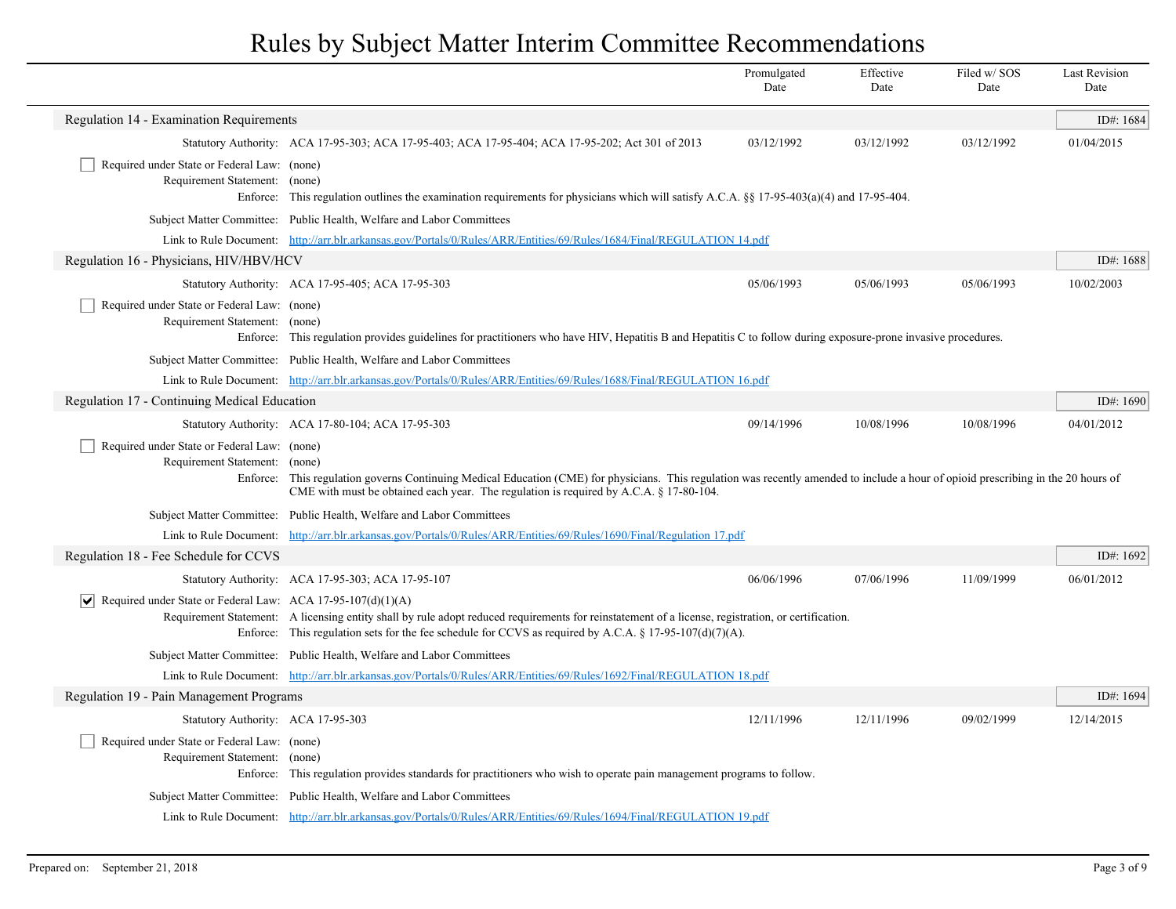|                                                                              |                                                                                                                                                                                                                                                                               | Promulgated<br>Date | Effective<br>Date | Filed w/SOS<br>Date | <b>Last Revision</b><br>Date |
|------------------------------------------------------------------------------|-------------------------------------------------------------------------------------------------------------------------------------------------------------------------------------------------------------------------------------------------------------------------------|---------------------|-------------------|---------------------|------------------------------|
| Regulation 14 - Examination Requirements                                     |                                                                                                                                                                                                                                                                               |                     |                   |                     | ID#: 1684                    |
|                                                                              | Statutory Authority: ACA 17-95-303; ACA 17-95-403; ACA 17-95-404; ACA 17-95-202; Act 301 of 2013                                                                                                                                                                              | 03/12/1992          | 03/12/1992        | 03/12/1992          | 01/04/2015                   |
| Required under State or Federal Law: (none)<br>Requirement Statement: (none) | Enforce: This regulation outlines the examination requirements for physicians which will satisfy A.C.A. $\S$ 17-95-403(a)(4) and 17-95-404.                                                                                                                                   |                     |                   |                     |                              |
|                                                                              | Subject Matter Committee: Public Health, Welfare and Labor Committees                                                                                                                                                                                                         |                     |                   |                     |                              |
|                                                                              | Link to Rule Document: http://arr.blr.arkansas.gov/Portals/0/Rules/ARR/Entities/69/Rules/1684/Final/REGULATION 14.pdf                                                                                                                                                         |                     |                   |                     |                              |
| Regulation 16 - Physicians, HIV/HBV/HCV                                      |                                                                                                                                                                                                                                                                               |                     |                   |                     | ID#: $1688$                  |
|                                                                              | Statutory Authority: ACA 17-95-405; ACA 17-95-303                                                                                                                                                                                                                             | 05/06/1993          | 05/06/1993        | 05/06/1993          | 10/02/2003                   |
| Required under State or Federal Law: (none)<br>Requirement Statement: (none) | Enforce: This regulation provides guidelines for practitioners who have HIV, Hepatitis B and Hepatitis C to follow during exposure-prone invasive procedures.                                                                                                                 |                     |                   |                     |                              |
|                                                                              | Subject Matter Committee: Public Health, Welfare and Labor Committees                                                                                                                                                                                                         |                     |                   |                     |                              |
|                                                                              | Link to Rule Document: http://arr.blr.arkansas.gov/Portals/0/Rules/ARR/Entities/69/Rules/1688/Final/REGULATION 16.pdf                                                                                                                                                         |                     |                   |                     |                              |
| Regulation 17 - Continuing Medical Education                                 |                                                                                                                                                                                                                                                                               |                     |                   |                     | ID#: $1690$                  |
|                                                                              | Statutory Authority: ACA 17-80-104; ACA 17-95-303                                                                                                                                                                                                                             | 09/14/1996          | 10/08/1996        | 10/08/1996          | 04/01/2012                   |
| Required under State or Federal Law: (none)<br>Requirement Statement: (none) | Enforce: This regulation governs Continuing Medical Education (CME) for physicians. This regulation was recently amended to include a hour of opioid prescribing in the 20 hours of<br>CME with must be obtained each year. The regulation is required by A.C.A. § 17-80-104. |                     |                   |                     |                              |
|                                                                              | Subject Matter Committee: Public Health, Welfare and Labor Committees                                                                                                                                                                                                         |                     |                   |                     |                              |
|                                                                              | Link to Rule Document: http://arr.blr.arkansas.gov/Portals/0/Rules/ARR/Entities/69/Rules/1690/Final/Regulation 17.pdf                                                                                                                                                         |                     |                   |                     |                              |
| Regulation 18 - Fee Schedule for CCVS                                        |                                                                                                                                                                                                                                                                               |                     |                   |                     | ID#: 1692                    |
|                                                                              | Statutory Authority: ACA 17-95-303; ACA 17-95-107                                                                                                                                                                                                                             | 06/06/1996          | 07/06/1996        | 11/09/1999          | 06/01/2012                   |
| Required under State or Federal Law: ACA 17-95-107(d)(1)(A)<br>∣V∣           | Requirement Statement: A licensing entity shall by rule adopt reduced requirements for reinstatement of a license, registration, or certification.<br>Enforce: This regulation sets for the fee schedule for CCVS as required by A.C.A. § 17-95-107(d)(7)(A).                 |                     |                   |                     |                              |
|                                                                              | Subject Matter Committee: Public Health, Welfare and Labor Committees                                                                                                                                                                                                         |                     |                   |                     |                              |
|                                                                              | Link to Rule Document: http://arr.blr.arkansas.gov/Portals/0/Rules/ARR/Entities/69/Rules/1692/Final/REGULATION 18.pdf                                                                                                                                                         |                     |                   |                     |                              |
| Regulation 19 - Pain Management Programs                                     |                                                                                                                                                                                                                                                                               |                     |                   |                     | ID#: 1694                    |
| Statutory Authority: ACA 17-95-303                                           |                                                                                                                                                                                                                                                                               | 12/11/1996          | 12/11/1996        | 09/02/1999          | 12/14/2015                   |
| Required under State or Federal Law: (none)<br>Requirement Statement: (none) | Enforce: This regulation provides standards for practitioners who wish to operate pain management programs to follow.                                                                                                                                                         |                     |                   |                     |                              |
|                                                                              | Subject Matter Committee: Public Health, Welfare and Labor Committees                                                                                                                                                                                                         |                     |                   |                     |                              |
|                                                                              | Link to Rule Document: http://arr.blr.arkansas.gov/Portals/0/Rules/ARR/Entities/69/Rules/1694/Final/REGULATION 19.pdf                                                                                                                                                         |                     |                   |                     |                              |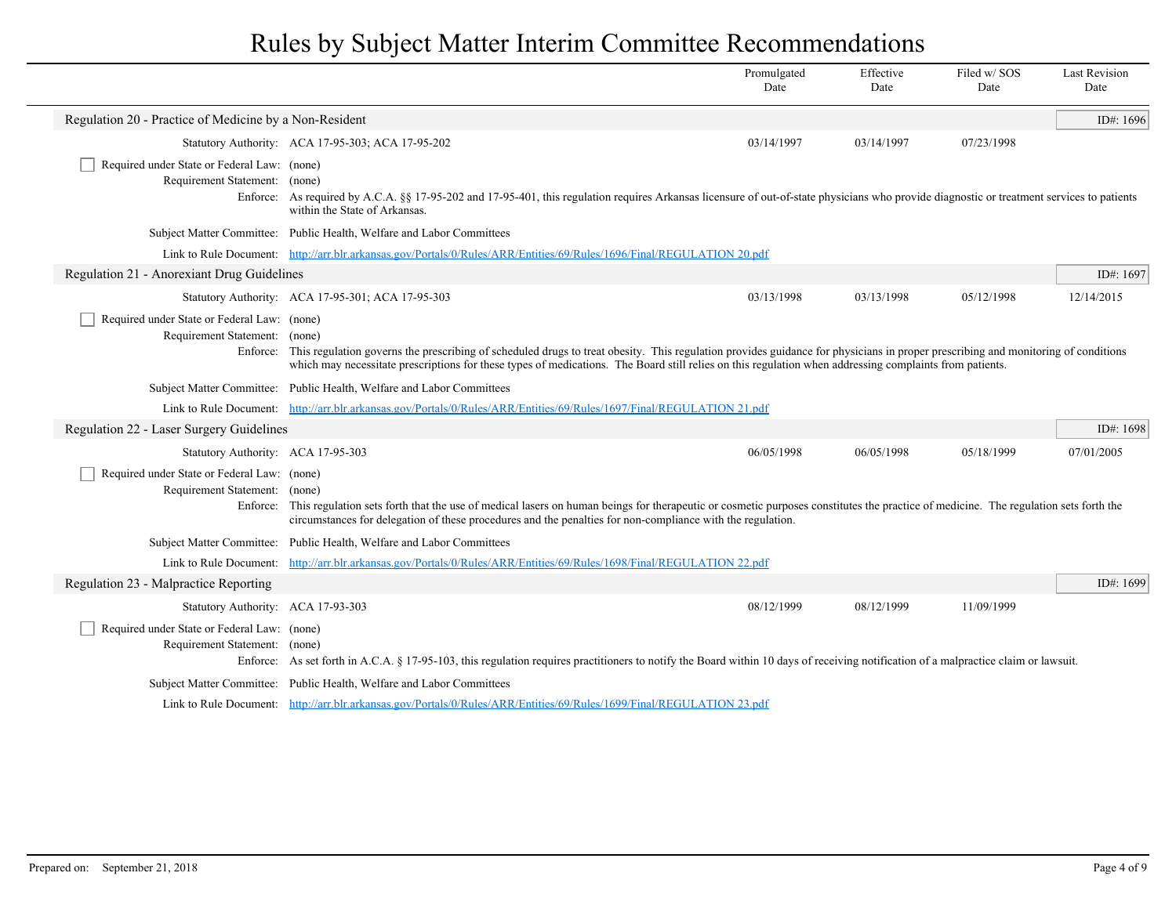|                                                                              |                                                                                                                                                                                                                                                                                                                                                      | Promulgated<br>Date | Effective<br>Date | Filed w/SOS<br>Date | <b>Last Revision</b><br>Date |
|------------------------------------------------------------------------------|------------------------------------------------------------------------------------------------------------------------------------------------------------------------------------------------------------------------------------------------------------------------------------------------------------------------------------------------------|---------------------|-------------------|---------------------|------------------------------|
| Regulation 20 - Practice of Medicine by a Non-Resident                       |                                                                                                                                                                                                                                                                                                                                                      |                     |                   |                     | ID#: 1696                    |
|                                                                              | Statutory Authority: ACA 17-95-303; ACA 17-95-202                                                                                                                                                                                                                                                                                                    | 03/14/1997          | 03/14/1997        | 07/23/1998          |                              |
| Required under State or Federal Law: (none)<br>Requirement Statement: (none) | Enforce: As required by A.C.A. §§ 17-95-202 and 17-95-401, this regulation requires Arkansas licensure of out-of-state physicians who provide diagnostic or treatment services to patients<br>within the State of Arkansas.                                                                                                                          |                     |                   |                     |                              |
|                                                                              | Subject Matter Committee: Public Health, Welfare and Labor Committees                                                                                                                                                                                                                                                                                |                     |                   |                     |                              |
|                                                                              | Link to Rule Document: http://arr.blr.arkansas.gov/Portals/0/Rules/ARR/Entities/69/Rules/1696/Final/REGULATION 20.pdf                                                                                                                                                                                                                                |                     |                   |                     |                              |
| Regulation 21 - Anorexiant Drug Guidelines                                   |                                                                                                                                                                                                                                                                                                                                                      |                     |                   |                     | ID#: 1697                    |
|                                                                              | Statutory Authority: ACA 17-95-301; ACA 17-95-303                                                                                                                                                                                                                                                                                                    | 03/13/1998          | 03/13/1998        | 05/12/1998          | 12/14/2015                   |
| Required under State or Federal Law: (none)<br>Requirement Statement: (none) | Enforce: This regulation governs the prescribing of scheduled drugs to treat obesity. This regulation provides guidance for physicians in proper prescribing and monitoring of conditions<br>which may necessitate prescriptions for these types of medications. The Board still relies on this regulation when addressing complaints from patients. |                     |                   |                     |                              |
|                                                                              | Subject Matter Committee: Public Health, Welfare and Labor Committees                                                                                                                                                                                                                                                                                |                     |                   |                     |                              |
|                                                                              | Link to Rule Document: http://arr.blr.arkansas.gov/Portals/0/Rules/ARR/Entities/69/Rules/1697/Final/REGULATION 21.pdf                                                                                                                                                                                                                                |                     |                   |                     |                              |
| Regulation 22 - Laser Surgery Guidelines                                     |                                                                                                                                                                                                                                                                                                                                                      |                     |                   |                     | ID#: 1698                    |
| Statutory Authority: ACA 17-95-303                                           |                                                                                                                                                                                                                                                                                                                                                      | 06/05/1998          | 06/05/1998        | 05/18/1999          | 07/01/2005                   |
| Required under State or Federal Law: (none)<br>Requirement Statement: (none) | Enforce: This regulation sets forth that the use of medical lasers on human beings for therapeutic or cosmetic purposes constitutes the practice of medicine. The regulation sets forth the<br>circumstances for delegation of these procedures and the penalties for non-compliance with the regulation.                                            |                     |                   |                     |                              |
|                                                                              | Subject Matter Committee: Public Health, Welfare and Labor Committees                                                                                                                                                                                                                                                                                |                     |                   |                     |                              |
|                                                                              | Link to Rule Document: http://arr.blr.arkansas.gov/Portals/0/Rules/ARR/Entities/69/Rules/1698/Final/REGULATION 22.pdf                                                                                                                                                                                                                                |                     |                   |                     |                              |
| Regulation 23 - Malpractice Reporting                                        |                                                                                                                                                                                                                                                                                                                                                      |                     |                   |                     | ID#: 1699                    |
| Statutory Authority: ACA 17-93-303                                           |                                                                                                                                                                                                                                                                                                                                                      | 08/12/1999          | 08/12/1999        | 11/09/1999          |                              |
| Required under State or Federal Law: (none)<br>Requirement Statement: (none) | Enforce: As set forth in A.C.A. § 17-95-103, this regulation requires practitioners to notify the Board within 10 days of receiving notification of a malpractice claim or lawsuit.                                                                                                                                                                  |                     |                   |                     |                              |
|                                                                              | Subject Matter Committee: Public Health, Welfare and Labor Committees                                                                                                                                                                                                                                                                                |                     |                   |                     |                              |
|                                                                              | Link to Rule Document: http://arr.blr.arkansas.gov/Portals/0/Rules/ARR/Entities/69/Rules/1699/Final/REGULATION 23.pdf                                                                                                                                                                                                                                |                     |                   |                     |                              |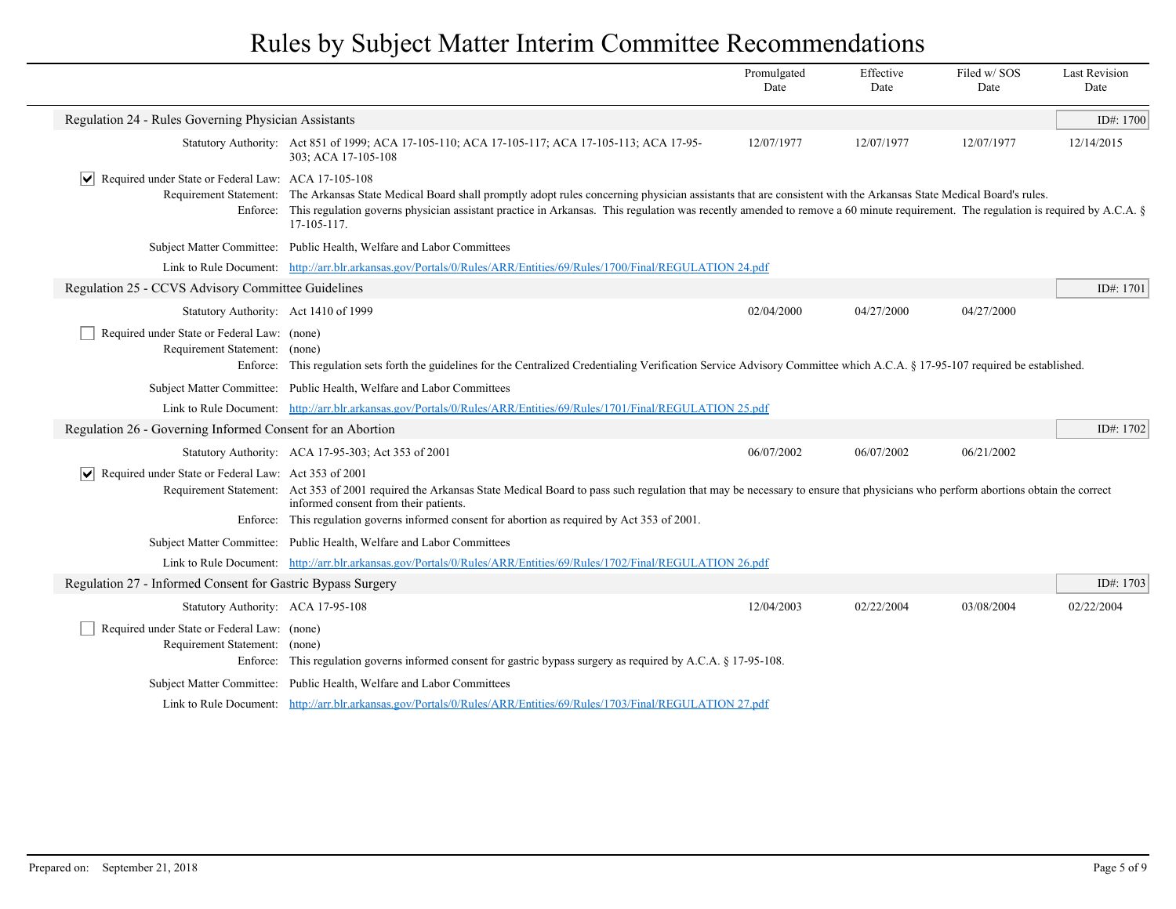|                                                                                                                       |                                                                                                                                                                                                                                                                                                                                                                                                   | Promulgated<br>Date | Effective<br>Date | Filed w/SOS<br>Date | <b>Last Revision</b><br>Date |
|-----------------------------------------------------------------------------------------------------------------------|---------------------------------------------------------------------------------------------------------------------------------------------------------------------------------------------------------------------------------------------------------------------------------------------------------------------------------------------------------------------------------------------------|---------------------|-------------------|---------------------|------------------------------|
| Regulation 24 - Rules Governing Physician Assistants                                                                  |                                                                                                                                                                                                                                                                                                                                                                                                   |                     |                   |                     | ID#: 1700                    |
|                                                                                                                       | Statutory Authority: Act 851 of 1999; ACA 17-105-110; ACA 17-105-117; ACA 17-105-113; ACA 17-95-<br>303; ACA 17-105-108                                                                                                                                                                                                                                                                           | 12/07/1977          | 12/07/1977        | 12/07/1977          | 12/14/2015                   |
| Required under State or Federal Law: ACA 17-105-108<br>$ \mathsf{v} $                                                 | Requirement Statement: The Arkansas State Medical Board shall promptly adopt rules concerning physician assistants that are consistent with the Arkansas State Medical Board's rules.<br>Enforce: This regulation governs physician assistant practice in Arkansas. This regulation was recently amended to remove a 60 minute requirement. The regulation is required by A.C.A. §<br>17-105-117. |                     |                   |                     |                              |
|                                                                                                                       | Subject Matter Committee: Public Health, Welfare and Labor Committees                                                                                                                                                                                                                                                                                                                             |                     |                   |                     |                              |
| Link to Rule Document: http://arr.blr.arkansas.gov/Portals/0/Rules/ARR/Entities/69/Rules/1700/Final/REGULATION 24.pdf |                                                                                                                                                                                                                                                                                                                                                                                                   |                     |                   |                     |                              |
| Regulation 25 - CCVS Advisory Committee Guidelines                                                                    |                                                                                                                                                                                                                                                                                                                                                                                                   |                     |                   |                     | ID#: 1701                    |
| Statutory Authority: Act 1410 of 1999                                                                                 |                                                                                                                                                                                                                                                                                                                                                                                                   | 02/04/2000          | 04/27/2000        | 04/27/2000          |                              |
| Required under State or Federal Law: (none)<br>Requirement Statement: (none)                                          | Enforce: This regulation sets forth the guidelines for the Centralized Credentialing Verification Service Advisory Committee which A.C.A. § 17-95-107 required be established.                                                                                                                                                                                                                    |                     |                   |                     |                              |
|                                                                                                                       | Subject Matter Committee: Public Health, Welfare and Labor Committees                                                                                                                                                                                                                                                                                                                             |                     |                   |                     |                              |
|                                                                                                                       | Link to Rule Document: http://arr.blr.arkansas.gov/Portals/0/Rules/ARR/Entities/69/Rules/1701/Final/REGULATION 25.pdf                                                                                                                                                                                                                                                                             |                     |                   |                     |                              |
| Regulation 26 - Governing Informed Consent for an Abortion                                                            |                                                                                                                                                                                                                                                                                                                                                                                                   |                     |                   |                     | ID#: 1702                    |
|                                                                                                                       | Statutory Authority: ACA 17-95-303; Act 353 of 2001                                                                                                                                                                                                                                                                                                                                               | 06/07/2002          | 06/07/2002        | 06/21/2002          |                              |
| $ \mathbf{v} $ Required under State or Federal Law: Act 353 of 2001                                                   | Requirement Statement: Act 353 of 2001 required the Arkansas State Medical Board to pass such regulation that may be necessary to ensure that physicians who perform abortions obtain the correct<br>informed consent from their patients.                                                                                                                                                        |                     |                   |                     |                              |
|                                                                                                                       | Enforce: This regulation governs informed consent for abortion as required by Act 353 of 2001.                                                                                                                                                                                                                                                                                                    |                     |                   |                     |                              |
|                                                                                                                       | Subject Matter Committee: Public Health, Welfare and Labor Committees                                                                                                                                                                                                                                                                                                                             |                     |                   |                     |                              |
| Regulation 27 - Informed Consent for Gastric Bypass Surgery                                                           | Link to Rule Document: http://arr.blr.arkansas.gov/Portals/0/Rules/ARR/Entities/69/Rules/1702/Final/REGULATION 26.pdf                                                                                                                                                                                                                                                                             |                     |                   |                     | ID#: 1703                    |
|                                                                                                                       |                                                                                                                                                                                                                                                                                                                                                                                                   |                     |                   |                     |                              |
| Statutory Authority: ACA 17-95-108                                                                                    |                                                                                                                                                                                                                                                                                                                                                                                                   | 12/04/2003          | 02/22/2004        | 03/08/2004          | 02/22/2004                   |
| Required under State or Federal Law: (none)<br>Requirement Statement: (none)                                          |                                                                                                                                                                                                                                                                                                                                                                                                   |                     |                   |                     |                              |
| Enforce:                                                                                                              | This regulation governs informed consent for gastric bypass surgery as required by A.C.A. § 17-95-108.                                                                                                                                                                                                                                                                                            |                     |                   |                     |                              |
|                                                                                                                       | Subject Matter Committee: Public Health, Welfare and Labor Committees                                                                                                                                                                                                                                                                                                                             |                     |                   |                     |                              |
|                                                                                                                       | Link to Rule Document: http://arr.blr.arkansas.gov/Portals/0/Rules/ARR/Entities/69/Rules/1703/Final/REGULATION 27.pdf                                                                                                                                                                                                                                                                             |                     |                   |                     |                              |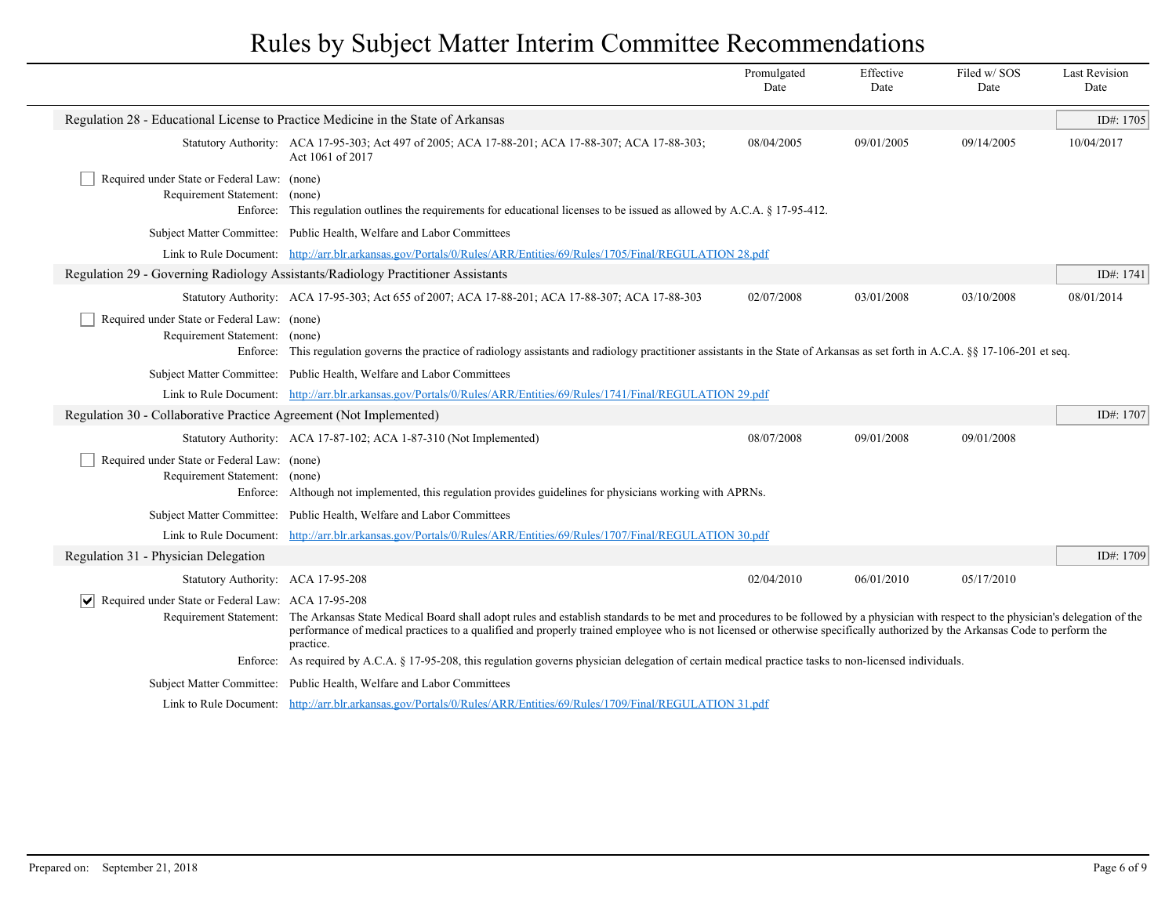|                                                                                                                       |                                                                                                                                                                                                                                                                                                                                                                                | Promulgated<br>Date | Effective<br>Date | Filed w/SOS<br>Date | <b>Last Revision</b><br>Date |
|-----------------------------------------------------------------------------------------------------------------------|--------------------------------------------------------------------------------------------------------------------------------------------------------------------------------------------------------------------------------------------------------------------------------------------------------------------------------------------------------------------------------|---------------------|-------------------|---------------------|------------------------------|
|                                                                                                                       | Regulation 28 - Educational License to Practice Medicine in the State of Arkansas                                                                                                                                                                                                                                                                                              |                     |                   |                     | ID#: 1705                    |
|                                                                                                                       | Statutory Authority: ACA 17-95-303; Act 497 of 2005; ACA 17-88-201; ACA 17-88-307; ACA 17-88-303;<br>Act 1061 of 2017                                                                                                                                                                                                                                                          | 08/04/2005          | 09/01/2005        | 09/14/2005          | 10/04/2017                   |
| Required under State or Federal Law: (none)<br>Requirement Statement:<br>Enforce:                                     | (none)<br>This regulation outlines the requirements for educational licenses to be issued as allowed by A.C.A. § 17-95-412.                                                                                                                                                                                                                                                    |                     |                   |                     |                              |
|                                                                                                                       | Subject Matter Committee: Public Health, Welfare and Labor Committees                                                                                                                                                                                                                                                                                                          |                     |                   |                     |                              |
| Link to Rule Document: http://arr.blr.arkansas.gov/Portals/0/Rules/ARR/Entities/69/Rules/1705/Final/REGULATION 28.pdf |                                                                                                                                                                                                                                                                                                                                                                                |                     |                   |                     |                              |
|                                                                                                                       | Regulation 29 - Governing Radiology Assistants/Radiology Practitioner Assistants                                                                                                                                                                                                                                                                                               |                     |                   |                     | ID#: 1741                    |
|                                                                                                                       | Statutory Authority: ACA 17-95-303; Act 655 of 2007; ACA 17-88-201; ACA 17-88-307; ACA 17-88-303                                                                                                                                                                                                                                                                               | 02/07/2008          | 03/01/2008        | 03/10/2008          | 08/01/2014                   |
| Required under State or Federal Law: (none)<br>Requirement Statement: (none)<br>Enforce:                              | This regulation governs the practice of radiology assistants and radiology practitioner assistants in the State of Arkansas as set forth in A.C.A. §§ 17-106-201 et seq.                                                                                                                                                                                                       |                     |                   |                     |                              |
|                                                                                                                       | Subject Matter Committee: Public Health, Welfare and Labor Committees                                                                                                                                                                                                                                                                                                          |                     |                   |                     |                              |
| Link to Rule Document: http://arr.blr.arkansas.gov/Portals/0/Rules/ARR/Entities/69/Rules/1741/Final/REGULATION 29.pdf |                                                                                                                                                                                                                                                                                                                                                                                |                     |                   |                     |                              |
| Regulation 30 - Collaborative Practice Agreement (Not Implemented)                                                    |                                                                                                                                                                                                                                                                                                                                                                                |                     |                   | ID#: 1707           |                              |
|                                                                                                                       | Statutory Authority: ACA 17-87-102; ACA 1-87-310 (Not Implemented)                                                                                                                                                                                                                                                                                                             | 08/07/2008          | 09/01/2008        | 09/01/2008          |                              |
| Required under State or Federal Law: (none)<br>Requirement Statement: (none)<br>Enforce:                              | Although not implemented, this regulation provides guidelines for physicians working with APRNs.                                                                                                                                                                                                                                                                               |                     |                   |                     |                              |
|                                                                                                                       | Subject Matter Committee: Public Health, Welfare and Labor Committees                                                                                                                                                                                                                                                                                                          |                     |                   |                     |                              |
|                                                                                                                       | Link to Rule Document: http://arr.blr.arkansas.gov/Portals/0/Rules/ARR/Entities/69/Rules/1707/Final/REGULATION 30.pdf                                                                                                                                                                                                                                                          |                     |                   |                     |                              |
| Regulation 31 - Physician Delegation                                                                                  |                                                                                                                                                                                                                                                                                                                                                                                |                     |                   |                     | ID#: 1709                    |
| Statutory Authority: ACA 17-95-208                                                                                    |                                                                                                                                                                                                                                                                                                                                                                                | 02/04/2010          | 06/01/2010        | 05/17/2010          |                              |
| $ \mathbf{v} $ Required under State or Federal Law: ACA 17-95-208<br>Requirement Statement:                           | The Arkansas State Medical Board shall adopt rules and establish standards to be met and procedures to be followed by a physician with respect to the physician's delegation of the<br>performance of medical practices to a qualified and properly trained employee who is not licensed or otherwise specifically authorized by the Arkansas Code to perform the<br>practice. |                     |                   |                     |                              |
|                                                                                                                       | Enforce: As required by A.C.A. § 17-95-208, this regulation governs physician delegation of certain medical practice tasks to non-licensed individuals.                                                                                                                                                                                                                        |                     |                   |                     |                              |
|                                                                                                                       | Subject Matter Committee: Public Health, Welfare and Labor Committees                                                                                                                                                                                                                                                                                                          |                     |                   |                     |                              |
|                                                                                                                       | Link to Rule Document: http://arr.blr.arkansas.gov/Portals/0/Rules/ARR/Entities/69/Rules/1709/Final/REGULATION 31.pdf                                                                                                                                                                                                                                                          |                     |                   |                     |                              |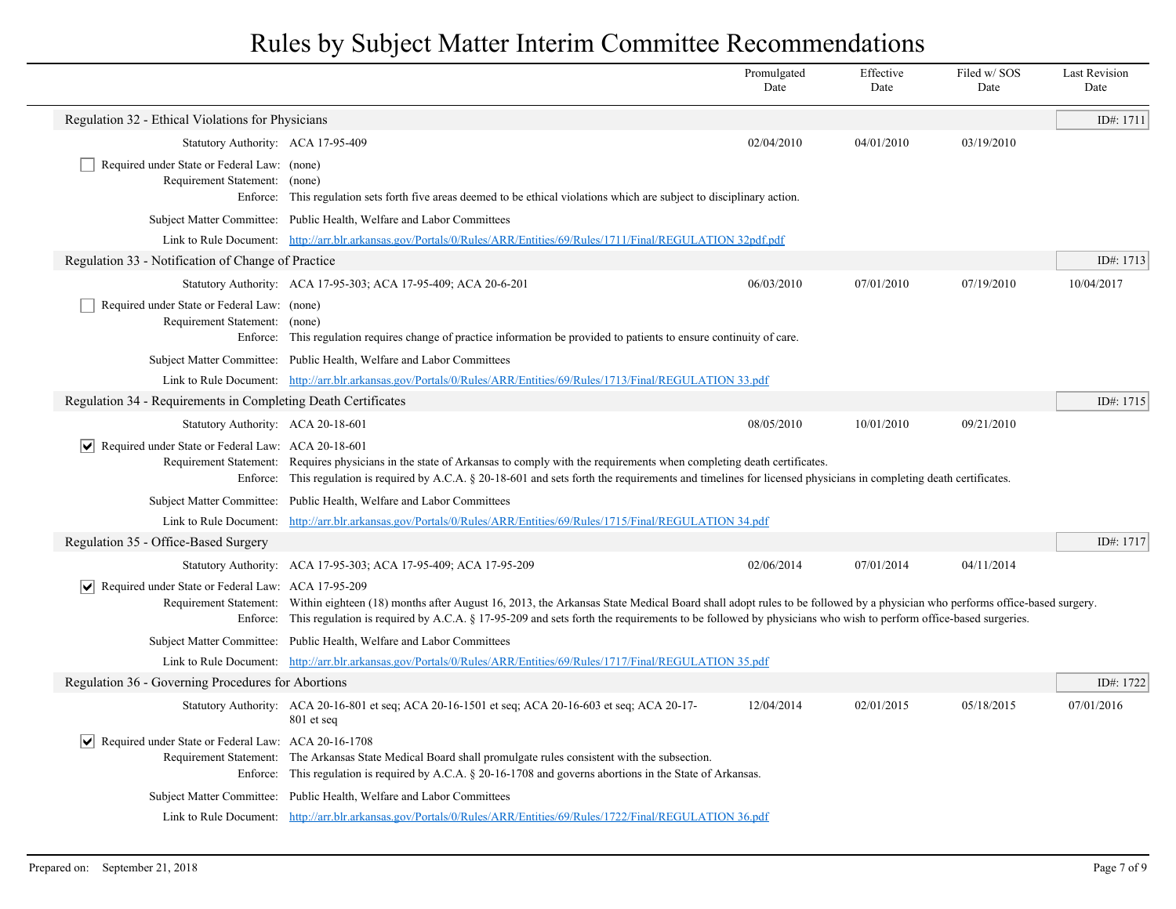|                                                                              |                                                                                                                                                                                                                                                                                                                                                                      | Promulgated<br>Date | Effective<br>Date | Filed w/ SOS<br>Date | <b>Last Revision</b><br>Date |
|------------------------------------------------------------------------------|----------------------------------------------------------------------------------------------------------------------------------------------------------------------------------------------------------------------------------------------------------------------------------------------------------------------------------------------------------------------|---------------------|-------------------|----------------------|------------------------------|
| Regulation 32 - Ethical Violations for Physicians                            |                                                                                                                                                                                                                                                                                                                                                                      |                     |                   |                      | ID#: 1711                    |
| Statutory Authority: ACA 17-95-409                                           |                                                                                                                                                                                                                                                                                                                                                                      | 02/04/2010          | 04/01/2010        | 03/19/2010           |                              |
| Required under State or Federal Law: (none)                                  |                                                                                                                                                                                                                                                                                                                                                                      |                     |                   |                      |                              |
| Requirement Statement: (none)                                                |                                                                                                                                                                                                                                                                                                                                                                      |                     |                   |                      |                              |
|                                                                              | Enforce: This regulation sets forth five areas deemed to be ethical violations which are subject to disciplinary action.                                                                                                                                                                                                                                             |                     |                   |                      |                              |
|                                                                              | Subject Matter Committee: Public Health, Welfare and Labor Committees<br>Link to Rule Document: http://arr.blr.arkansas.gov/Portals/0/Rules/ARR/Entities/69/Rules/1711/Final/REGULATION 32pdf.pdf                                                                                                                                                                    |                     |                   |                      |                              |
| Regulation 33 - Notification of Change of Practice                           |                                                                                                                                                                                                                                                                                                                                                                      |                     |                   |                      | ID#: $1713$                  |
|                                                                              |                                                                                                                                                                                                                                                                                                                                                                      | 06/03/2010          | 07/01/2010        | 07/19/2010           | 10/04/2017                   |
|                                                                              | Statutory Authority: ACA 17-95-303; ACA 17-95-409; ACA 20-6-201                                                                                                                                                                                                                                                                                                      |                     |                   |                      |                              |
| Required under State or Federal Law: (none)<br>Requirement Statement: (none) |                                                                                                                                                                                                                                                                                                                                                                      |                     |                   |                      |                              |
|                                                                              | Enforce: This regulation requires change of practice information be provided to patients to ensure continuity of care.                                                                                                                                                                                                                                               |                     |                   |                      |                              |
|                                                                              | Subject Matter Committee: Public Health, Welfare and Labor Committees                                                                                                                                                                                                                                                                                                |                     |                   |                      |                              |
|                                                                              | Link to Rule Document: http://arr.blr.arkansas.gov/Portals/0/Rules/ARR/Entities/69/Rules/1713/Final/REGULATION 33.pdf                                                                                                                                                                                                                                                |                     |                   |                      |                              |
| Regulation 34 - Requirements in Completing Death Certificates                |                                                                                                                                                                                                                                                                                                                                                                      |                     |                   |                      | ID#: 1715                    |
| Statutory Authority: ACA 20-18-601                                           |                                                                                                                                                                                                                                                                                                                                                                      | 08/05/2010          | 10/01/2010        | 09/21/2010           |                              |
| $ \bm{\mathsf{v}} $<br>Required under State or Federal Law: ACA 20-18-601    | Requirement Statement: Requires physicians in the state of Arkansas to comply with the requirements when completing death certificates.<br>Enforce: This regulation is required by A.C.A. § 20-18-601 and sets forth the requirements and timelines for licensed physicians in completing death certificates.                                                        |                     |                   |                      |                              |
|                                                                              | Subject Matter Committee: Public Health, Welfare and Labor Committees                                                                                                                                                                                                                                                                                                |                     |                   |                      |                              |
|                                                                              | Link to Rule Document: http://arr.blr.arkansas.gov/Portals/0/Rules/ARR/Entities/69/Rules/1715/Final/REGULATION 34.pdf                                                                                                                                                                                                                                                |                     |                   |                      |                              |
| Regulation 35 - Office-Based Surgery                                         |                                                                                                                                                                                                                                                                                                                                                                      |                     |                   |                      | ID#: 1717                    |
|                                                                              | Statutory Authority: ACA 17-95-303; ACA 17-95-409; ACA 17-95-209                                                                                                                                                                                                                                                                                                     | 02/06/2014          | 07/01/2014        | 04/11/2014           |                              |
| Required under State or Federal Law: ACA 17-95-209<br>$ \bm{\mathsf{v}} $    |                                                                                                                                                                                                                                                                                                                                                                      |                     |                   |                      |                              |
|                                                                              | Requirement Statement: Within eighteen (18) months after August 16, 2013, the Arkansas State Medical Board shall adopt rules to be followed by a physician who performs office-based surgery.<br>Enforce: This regulation is required by A.C.A. § 17-95-209 and sets forth the requirements to be followed by physicians who wish to perform office-based surgeries. |                     |                   |                      |                              |
|                                                                              | Subject Matter Committee: Public Health, Welfare and Labor Committees                                                                                                                                                                                                                                                                                                |                     |                   |                      |                              |
|                                                                              | Link to Rule Document: http://arr.blr.arkansas.gov/Portals/0/Rules/ARR/Entities/69/Rules/1717/Final/REGULATION 35.pdf                                                                                                                                                                                                                                                |                     |                   |                      |                              |
| Regulation 36 - Governing Procedures for Abortions                           |                                                                                                                                                                                                                                                                                                                                                                      |                     |                   |                      | ID#: 1722                    |
|                                                                              | Statutory Authority: ACA 20-16-801 et seq; ACA 20-16-1501 et seq; ACA 20-16-603 et seq; ACA 20-17-<br>801 et seq                                                                                                                                                                                                                                                     | 12/04/2014          | 02/01/2015        | 05/18/2015           | 07/01/2016                   |
| Required under State or Federal Law: ACA 20-16-1708<br>V                     | Requirement Statement: The Arkansas State Medical Board shall promulgate rules consistent with the subsection.<br>Enforce: This regulation is required by A.C.A. § 20-16-1708 and governs abortions in the State of Arkansas.                                                                                                                                        |                     |                   |                      |                              |
|                                                                              | Subject Matter Committee: Public Health, Welfare and Labor Committees                                                                                                                                                                                                                                                                                                |                     |                   |                      |                              |
|                                                                              | Link to Rule Document: http://arr.blr.arkansas.gov/Portals/0/Rules/ARR/Entities/69/Rules/1722/Final/REGULATION 36.pdf                                                                                                                                                                                                                                                |                     |                   |                      |                              |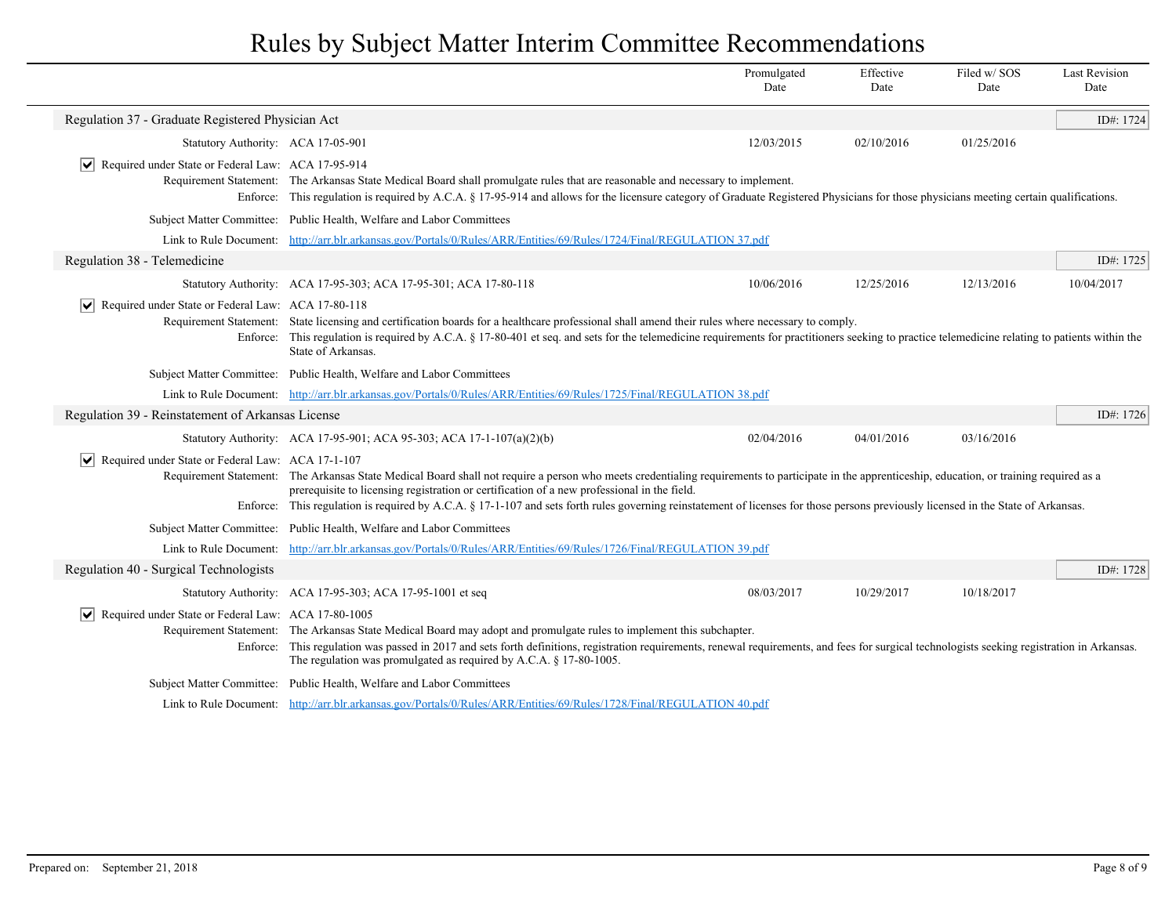|                                                                   |                                                                                                                                                                                                                                                                                                                                                                                                                                                                                         | Promulgated<br>Date | Effective<br>Date | Filed w/SOS<br>Date | <b>Last Revision</b><br>Date |
|-------------------------------------------------------------------|-----------------------------------------------------------------------------------------------------------------------------------------------------------------------------------------------------------------------------------------------------------------------------------------------------------------------------------------------------------------------------------------------------------------------------------------------------------------------------------------|---------------------|-------------------|---------------------|------------------------------|
| Regulation 37 - Graduate Registered Physician Act                 |                                                                                                                                                                                                                                                                                                                                                                                                                                                                                         |                     |                   |                     | ID#: 1724                    |
| Statutory Authority: ACA 17-05-901                                |                                                                                                                                                                                                                                                                                                                                                                                                                                                                                         | 12/03/2015          | 02/10/2016        | 01/25/2016          |                              |
| $ \mathbf{v} $ Required under State or Federal Law: ACA 17-95-914 |                                                                                                                                                                                                                                                                                                                                                                                                                                                                                         |                     |                   |                     |                              |
|                                                                   | Requirement Statement: The Arkansas State Medical Board shall promulgate rules that are reasonable and necessary to implement.<br>Enforce: This regulation is required by A.C.A. § 17-95-914 and allows for the licensure category of Graduate Registered Physicians for those physicians meeting certain qualifications.                                                                                                                                                               |                     |                   |                     |                              |
|                                                                   | Subject Matter Committee: Public Health, Welfare and Labor Committees                                                                                                                                                                                                                                                                                                                                                                                                                   |                     |                   |                     |                              |
|                                                                   | Link to Rule Document: http://arr.blr.arkansas.gov/Portals/0/Rules/ARR/Entities/69/Rules/1724/Final/REGULATION 37.pdf                                                                                                                                                                                                                                                                                                                                                                   |                     |                   |                     |                              |
| Regulation 38 - Telemedicine                                      |                                                                                                                                                                                                                                                                                                                                                                                                                                                                                         |                     |                   |                     | ID#: 1725                    |
|                                                                   | Statutory Authority: ACA 17-95-303; ACA 17-95-301; ACA 17-80-118                                                                                                                                                                                                                                                                                                                                                                                                                        | 10/06/2016          | 12/25/2016        | 12/13/2016          | 10/04/2017                   |
| Required under State or Federal Law: ACA 17-80-118                | Requirement Statement: State licensing and certification boards for a healthcare professional shall amend their rules where necessary to comply.<br>Enforce: This regulation is required by A.C.A. § 17-80-401 et seq. and sets for the telemedicine requirements for practitioners seeking to practice telemedicine relating to patients within the<br>State of Arkansas.                                                                                                              |                     |                   |                     |                              |
|                                                                   | Subject Matter Committee: Public Health, Welfare and Labor Committees                                                                                                                                                                                                                                                                                                                                                                                                                   |                     |                   |                     |                              |
|                                                                   | Link to Rule Document: http://arr.blr.arkansas.gov/Portals/0/Rules/ARR/Entities/69/Rules/1725/Final/REGULATION 38.pdf                                                                                                                                                                                                                                                                                                                                                                   |                     |                   |                     |                              |
| Regulation 39 - Reinstatement of Arkansas License                 |                                                                                                                                                                                                                                                                                                                                                                                                                                                                                         |                     |                   |                     | ID#: 1726                    |
|                                                                   | Statutory Authority: ACA 17-95-901; ACA 95-303; ACA 17-1-107(a)(2)(b)                                                                                                                                                                                                                                                                                                                                                                                                                   | 02/04/2016          | 04/01/2016        | 03/16/2016          |                              |
| $ \mathbf{v} $ Required under State or Federal Law: ACA 17-1-107  | Requirement Statement: The Arkansas State Medical Board shall not require a person who meets credentialing requirements to participate in the apprenticeship, education, or training required as a<br>prerequisite to licensing registration or certification of a new professional in the field.<br>Enforce: This regulation is required by A.C.A. § 17-1-107 and sets forth rules governing reinstatement of licenses for those persons previously licensed in the State of Arkansas. |                     |                   |                     |                              |
|                                                                   | Subject Matter Committee: Public Health, Welfare and Labor Committees                                                                                                                                                                                                                                                                                                                                                                                                                   |                     |                   |                     |                              |
| Link to Rule Document:                                            | http://arr.blr.arkansas.gov/Portals/0/Rules/ARR/Entities/69/Rules/1726/Final/REGULATION 39.pdf                                                                                                                                                                                                                                                                                                                                                                                          |                     |                   |                     |                              |
| Regulation 40 - Surgical Technologists                            |                                                                                                                                                                                                                                                                                                                                                                                                                                                                                         |                     |                   |                     | ID#: 1728                    |
|                                                                   | Statutory Authority: ACA 17-95-303; ACA 17-95-1001 et seq                                                                                                                                                                                                                                                                                                                                                                                                                               | 08/03/2017          | 10/29/2017        | 10/18/2017          |                              |
| v Required under State or Federal Law: ACA 17-80-1005             | Requirement Statement: The Arkansas State Medical Board may adopt and promulgate rules to implement this subchapter.<br>Enforce: This regulation was passed in 2017 and sets forth definitions, registration requirements, renewal requirements, and fees for surgical technologists seeking registration in Arkansas.<br>The regulation was promulgated as required by A.C.A. § 17-80-1005.                                                                                            |                     |                   |                     |                              |
|                                                                   | Subject Matter Committee: Public Health, Welfare and Labor Committees                                                                                                                                                                                                                                                                                                                                                                                                                   |                     |                   |                     |                              |
|                                                                   | Link to Rule Document: http://arr.blr.arkansas.gov/Portals/0/Rules/ARR/Entities/69/Rules/1728/Final/REGULATION 40.pdf                                                                                                                                                                                                                                                                                                                                                                   |                     |                   |                     |                              |